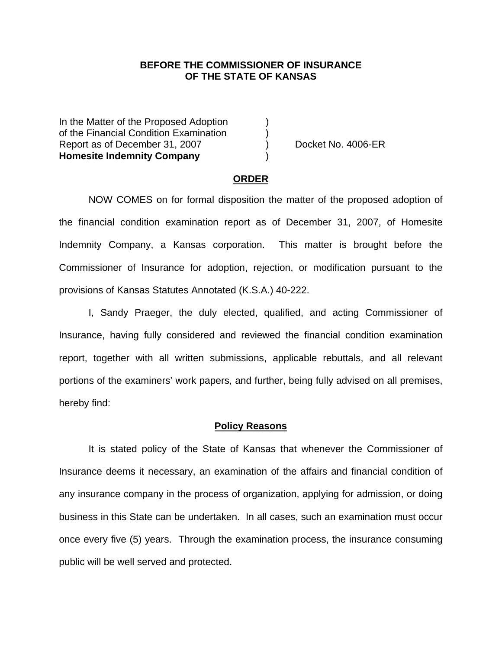### **BEFORE THE COMMISSIONER OF INSURANCE OF THE STATE OF KANSAS**

In the Matter of the Proposed Adoption of the Financial Condition Examination ) Report as of December 31, 2007 (and Separate No. 4006-ER **Homesite Indemnity Company** )

### **ORDER**

 NOW COMES on for formal disposition the matter of the proposed adoption of the financial condition examination report as of December 31, 2007, of Homesite Indemnity Company, a Kansas corporation. This matter is brought before the Commissioner of Insurance for adoption, rejection, or modification pursuant to the provisions of Kansas Statutes Annotated (K.S.A.) 40-222.

 I, Sandy Praeger, the duly elected, qualified, and acting Commissioner of Insurance, having fully considered and reviewed the financial condition examination report, together with all written submissions, applicable rebuttals, and all relevant portions of the examiners' work papers, and further, being fully advised on all premises, hereby find:

#### **Policy Reasons**

 It is stated policy of the State of Kansas that whenever the Commissioner of Insurance deems it necessary, an examination of the affairs and financial condition of any insurance company in the process of organization, applying for admission, or doing business in this State can be undertaken. In all cases, such an examination must occur once every five (5) years. Through the examination process, the insurance consuming public will be well served and protected.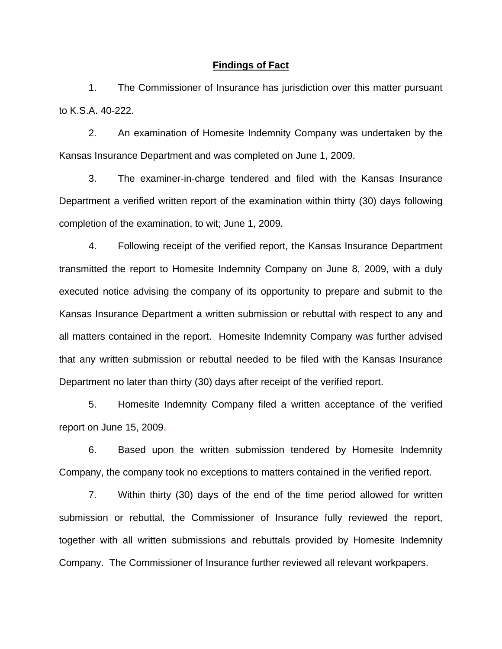### **Findings of Fact**

 1. The Commissioner of Insurance has jurisdiction over this matter pursuant to K.S.A. 40-222.

 2. An examination of Homesite Indemnity Company was undertaken by the Kansas Insurance Department and was completed on June 1, 2009.

 3. The examiner-in-charge tendered and filed with the Kansas Insurance Department a verified written report of the examination within thirty (30) days following completion of the examination, to wit; June 1, 2009.

 4. Following receipt of the verified report, the Kansas Insurance Department transmitted the report to Homesite Indemnity Company on June 8, 2009, with a duly executed notice advising the company of its opportunity to prepare and submit to the Kansas Insurance Department a written submission or rebuttal with respect to any and all matters contained in the report. Homesite Indemnity Company was further advised that any written submission or rebuttal needed to be filed with the Kansas Insurance Department no later than thirty (30) days after receipt of the verified report.

 5. Homesite Indemnity Company filed a written acceptance of the verified report on June 15, 2009.

6. Based upon the written submission tendered by Homesite Indemnity Company, the company took no exceptions to matters contained in the verified report.

 7. Within thirty (30) days of the end of the time period allowed for written submission or rebuttal, the Commissioner of Insurance fully reviewed the report, together with all written submissions and rebuttals provided by Homesite Indemnity Company. The Commissioner of Insurance further reviewed all relevant workpapers.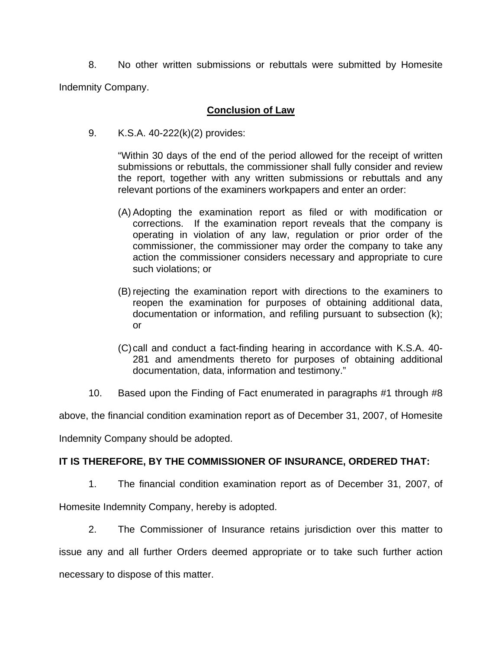8. No other written submissions or rebuttals were submitted by Homesite Indemnity Company.

# **Conclusion of Law**

9. K.S.A. 40-222(k)(2) provides:

"Within 30 days of the end of the period allowed for the receipt of written submissions or rebuttals, the commissioner shall fully consider and review the report, together with any written submissions or rebuttals and any relevant portions of the examiners workpapers and enter an order:

- (A) Adopting the examination report as filed or with modification or corrections. If the examination report reveals that the company is operating in violation of any law, regulation or prior order of the commissioner, the commissioner may order the company to take any action the commissioner considers necessary and appropriate to cure such violations; or
- (B) rejecting the examination report with directions to the examiners to reopen the examination for purposes of obtaining additional data, documentation or information, and refiling pursuant to subsection (k); or
- (C) call and conduct a fact-finding hearing in accordance with K.S.A. 40- 281 and amendments thereto for purposes of obtaining additional documentation, data, information and testimony."
- 10. Based upon the Finding of Fact enumerated in paragraphs #1 through #8

above, the financial condition examination report as of December 31, 2007, of Homesite

Indemnity Company should be adopted.

# **IT IS THEREFORE, BY THE COMMISSIONER OF INSURANCE, ORDERED THAT:**

1. The financial condition examination report as of December 31, 2007, of

Homesite Indemnity Company, hereby is adopted.

 2. The Commissioner of Insurance retains jurisdiction over this matter to issue any and all further Orders deemed appropriate or to take such further action necessary to dispose of this matter.